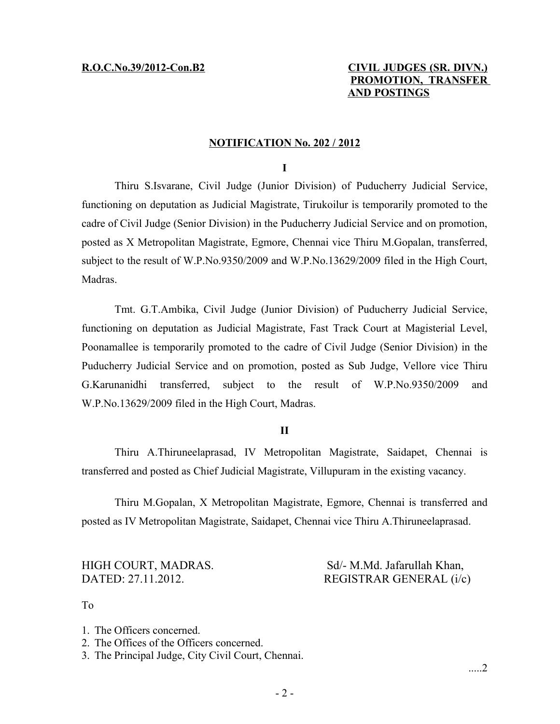# **R.O.C.No.39/2012-Con.B2 CIVIL JUDGES (SR. DIVN.) PROMOTION, TRANSFER AND POSTINGS**

### **NOTIFICATION No. 202 / 2012**

#### **I**

Thiru S.Isvarane, Civil Judge (Junior Division) of Puducherry Judicial Service, functioning on deputation as Judicial Magistrate, Tirukoilur is temporarily promoted to the cadre of Civil Judge (Senior Division) in the Puducherry Judicial Service and on promotion, posted as X Metropolitan Magistrate, Egmore, Chennai vice Thiru M.Gopalan, transferred, subject to the result of W.P.No.9350/2009 and W.P.No.13629/2009 filed in the High Court, Madras.

Tmt. G.T.Ambika, Civil Judge (Junior Division) of Puducherry Judicial Service, functioning on deputation as Judicial Magistrate, Fast Track Court at Magisterial Level, Poonamallee is temporarily promoted to the cadre of Civil Judge (Senior Division) in the Puducherry Judicial Service and on promotion, posted as Sub Judge, Vellore vice Thiru G.Karunanidhi transferred, subject to the result of W.P.No.9350/2009 and W.P.No.13629/2009 filed in the High Court, Madras.

#### **II**

Thiru A.Thiruneelaprasad, IV Metropolitan Magistrate, Saidapet, Chennai is transferred and posted as Chief Judicial Magistrate, Villupuram in the existing vacancy.

Thiru M.Gopalan, X Metropolitan Magistrate, Egmore, Chennai is transferred and posted as IV Metropolitan Magistrate, Saidapet, Chennai vice Thiru A.Thiruneelaprasad.

HIGH COURT, MADRAS. Sd/- M.Md. Jafarullah Khan, DATED: 27.11.2012. REGISTRAR GENERAL (i/c)

To

- 1. The Officers concerned.
- 2. The Offices of the Officers concerned.
- 3. The Principal Judge, City Civil Court, Chennai.

.....2